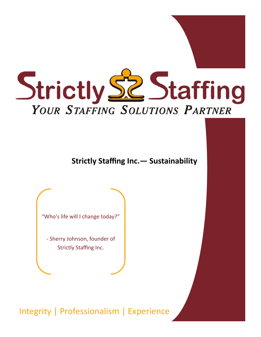

**Strictly Staffing Inc.— Sustainability**

"Who's life will I change today?"

- Sherry Johnson, founder of Strictly Staffing Inc.

Integrity | Professionalism | Experience